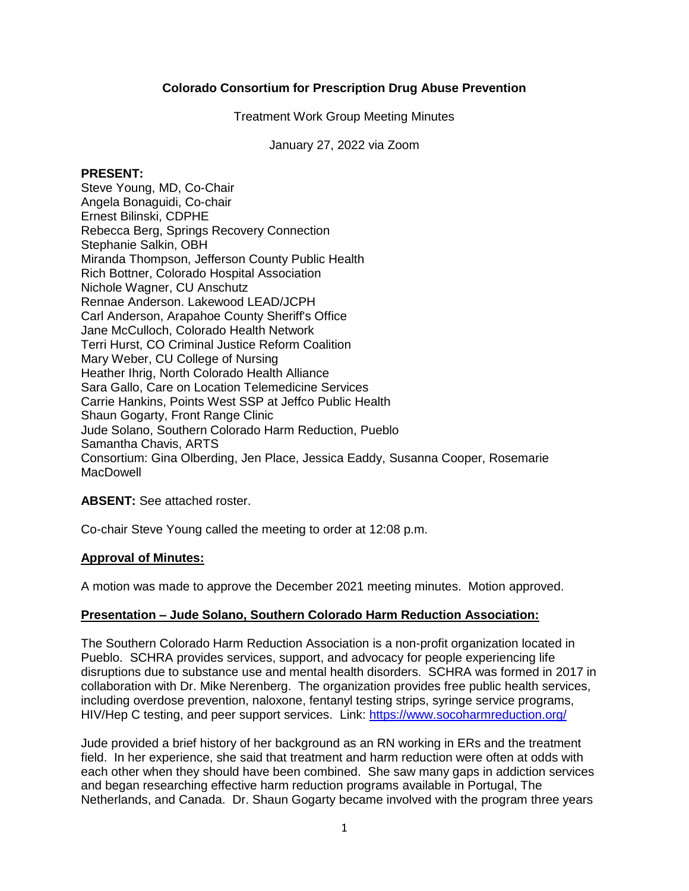## **Colorado Consortium for Prescription Drug Abuse Prevention**

Treatment Work Group Meeting Minutes

January 27, 2022 via Zoom

#### **PRESENT:**

Steve Young, MD, Co-Chair Angela Bonaguidi, Co-chair Ernest Bilinski, CDPHE Rebecca Berg, Springs Recovery Connection Stephanie Salkin, OBH Miranda Thompson, Jefferson County Public Health Rich Bottner, Colorado Hospital Association Nichole Wagner, CU Anschutz Rennae Anderson. Lakewood LEAD/JCPH Carl Anderson, Arapahoe County Sheriff's Office Jane McCulloch, Colorado Health Network Terri Hurst, CO Criminal Justice Reform Coalition Mary Weber, CU College of Nursing Heather Ihrig, North Colorado Health Alliance Sara Gallo, Care on Location Telemedicine Services Carrie Hankins, Points West SSP at Jeffco Public Health Shaun Gogarty, Front Range Clinic Jude Solano, Southern Colorado Harm Reduction, Pueblo Samantha Chavis, ARTS Consortium: Gina Olberding, Jen Place, Jessica Eaddy, Susanna Cooper, Rosemarie **MacDowell** 

# **ABSENT:** See attached roster.

Co-chair Steve Young called the meeting to order at 12:08 p.m.

#### **Approval of Minutes:**

A motion was made to approve the December 2021 meeting minutes. Motion approved.

#### **Presentation – Jude Solano, Southern Colorado Harm Reduction Association:**

The Southern Colorado Harm Reduction Association is a non-profit organization located in Pueblo. SCHRA provides services, support, and advocacy for people experiencing life disruptions due to substance use and mental health disorders. SCHRA was formed in 2017 in collaboration with Dr. Mike Nerenberg. The organization provides free public health services, including overdose prevention, naloxone, fentanyl testing strips, syringe service programs, HIV/Hep C testing, and peer support services. Link:<https://www.socoharmreduction.org/>

Jude provided a brief history of her background as an RN working in ERs and the treatment field. In her experience, she said that treatment and harm reduction were often at odds with each other when they should have been combined. She saw many gaps in addiction services and began researching effective harm reduction programs available in Portugal, The Netherlands, and Canada. Dr. Shaun Gogarty became involved with the program three years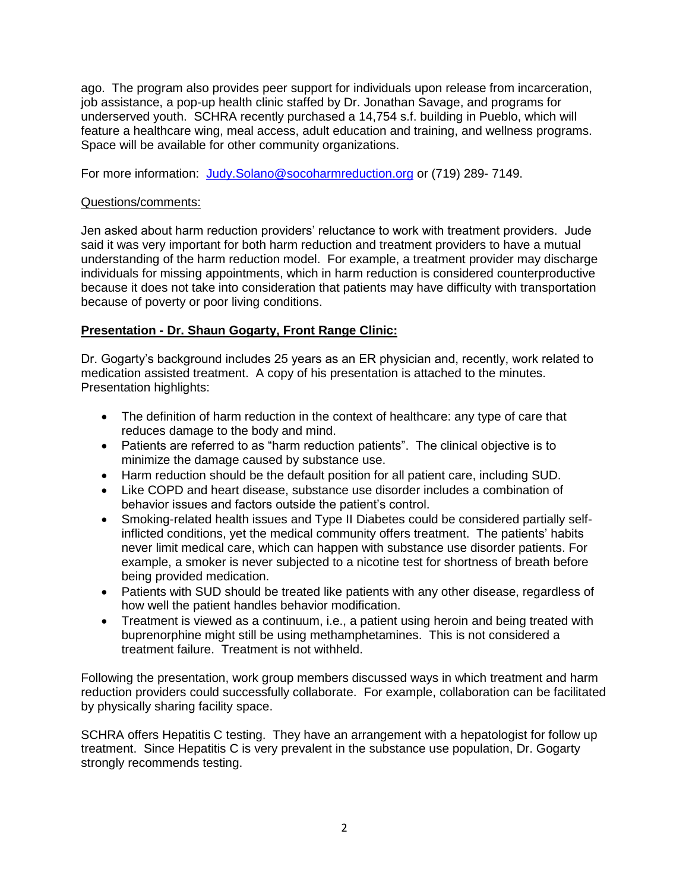ago. The program also provides peer support for individuals upon release from incarceration, job assistance, a pop-up health clinic staffed by Dr. Jonathan Savage, and programs for underserved youth. SCHRA recently purchased a 14,754 s.f. building in Pueblo, which will feature a healthcare wing, meal access, adult education and training, and wellness programs. Space will be available for other community organizations.

For more information: [Judy.Solano@socoharmreduction.org](mailto:Judy.Solano@socoharmreduction.org) or (719) 289-7149.

#### Questions/comments:

Jen asked about harm reduction providers' reluctance to work with treatment providers. Jude said it was very important for both harm reduction and treatment providers to have a mutual understanding of the harm reduction model. For example, a treatment provider may discharge individuals for missing appointments, which in harm reduction is considered counterproductive because it does not take into consideration that patients may have difficulty with transportation because of poverty or poor living conditions.

## **Presentation - Dr. Shaun Gogarty, Front Range Clinic:**

Dr. Gogarty's background includes 25 years as an ER physician and, recently, work related to medication assisted treatment. A copy of his presentation is attached to the minutes. Presentation highlights:

- The definition of harm reduction in the context of healthcare: any type of care that reduces damage to the body and mind.
- Patients are referred to as "harm reduction patients". The clinical objective is to minimize the damage caused by substance use.
- Harm reduction should be the default position for all patient care, including SUD.
- Like COPD and heart disease, substance use disorder includes a combination of behavior issues and factors outside the patient's control.
- Smoking-related health issues and Type II Diabetes could be considered partially selfinflicted conditions, yet the medical community offers treatment. The patients' habits never limit medical care, which can happen with substance use disorder patients. For example, a smoker is never subjected to a nicotine test for shortness of breath before being provided medication.
- Patients with SUD should be treated like patients with any other disease, regardless of how well the patient handles behavior modification.
- Treatment is viewed as a continuum, i.e., a patient using heroin and being treated with buprenorphine might still be using methamphetamines. This is not considered a treatment failure. Treatment is not withheld.

Following the presentation, work group members discussed ways in which treatment and harm reduction providers could successfully collaborate. For example, collaboration can be facilitated by physically sharing facility space.

SCHRA offers Hepatitis C testing. They have an arrangement with a hepatologist for follow up treatment. Since Hepatitis C is very prevalent in the substance use population, Dr. Gogarty strongly recommends testing.